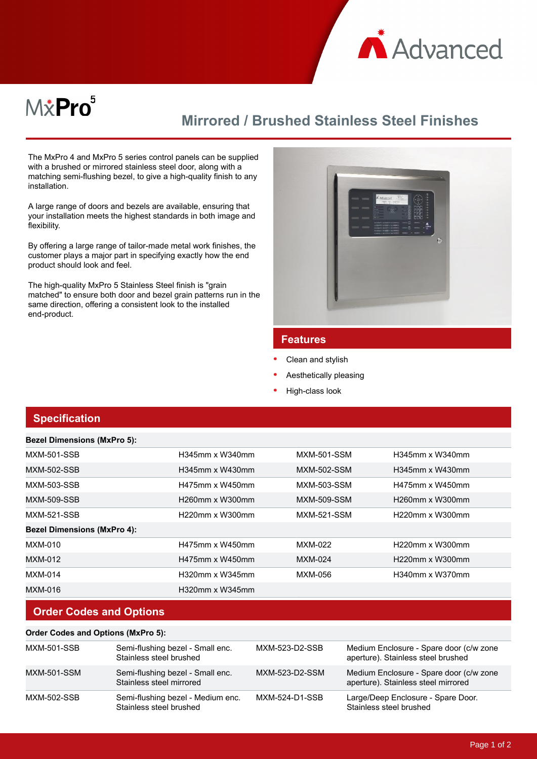

# M&Pro<sup>5</sup>

## **Mirrored / Brushed Stainless Steel Finishes**

The MxPro 4 and MxPro 5 series control panels can be supplied with a brushed or mirrored stainless steel door, along with a matching semi-flushing bezel, to give a high-quality finish to any installation.

A large range of doors and bezels are available, ensuring that your installation meets the highest standards in both image and flexibility.

By offering a large range of tailor-made metal work finishes, the customer plays a major part in specifying exactly how the end product should look and feel.

The high-quality MxPro 5 Stainless Steel finish is "grain matched" to ensure both door and bezel grain patterns run in the same direction, offering a consistent look to the installed end-product.



#### **Features**

- Clean and stylish
- Aesthetically pleasing
- High-class look

#### **Specification**

**Bezel Dimensions (MxPro 5):**

| <b>Bezel Dimensions (MXPro 5):</b> |                    |                    |                    |
|------------------------------------|--------------------|--------------------|--------------------|
| <b>MXM-501-SSB</b>                 | H345mm x W340mm    | <b>MXM-501-SSM</b> | $H345$ mm x W340mm |
| MXM-502-SSB                        | H345mm x W430mm    | <b>MXM-502-SSM</b> | H345mm x W430mm    |
| <b>MXM-503-SSB</b>                 | H475mm x W450mm    | MXM-503-SSM        | H475mm x W450mm    |
| MXM-509-SSB                        | $H260$ mm x W300mm | <b>MXM-509-SSM</b> | H260mm x W300mm    |
| <b>MXM-521-SSB</b>                 | H220mm x W300mm    | <b>MXM-521-SSM</b> | H220mm x W300mm    |
| <b>Bezel Dimensions (MxPro 4):</b> |                    |                    |                    |
| MXM-010                            | H475mm x W450mm    | MXM-022            | H220mm x W300mm    |
| MXM-012                            | H475mm x W450mm    | MXM-024            | H220mm x W300mm    |
| <b>MXM-014</b>                     | H320mm x W345mm    | MXM-056            | H340mm x W370mm    |
| MXM-016                            | $H320mm$ x W345mm  |                    |                    |

### **Order Codes and Options**

| <b>Order Codes and Options (MxPro 5):</b> |                                                              |                |                                                                                |  |  |
|-------------------------------------------|--------------------------------------------------------------|----------------|--------------------------------------------------------------------------------|--|--|
| MXM-501-SSB                               | Semi-flushing bezel - Small enc.<br>Stainless steel brushed  | MXM-523-D2-SSB | Medium Enclosure - Spare door (c/w zone<br>aperture). Stainless steel brushed  |  |  |
| MXM-501-SSM                               | Semi-flushing bezel - Small enc.<br>Stainless steel mirrored | MXM-523-D2-SSM | Medium Enclosure - Spare door (c/w zone<br>aperture). Stainless steel mirrored |  |  |
| MXM-502-SSB                               | Semi-flushing bezel - Medium enc.<br>Stainless steel brushed | MXM-524-D1-SSB | Large/Deep Enclosure - Spare Door.<br>Stainless steel brushed                  |  |  |